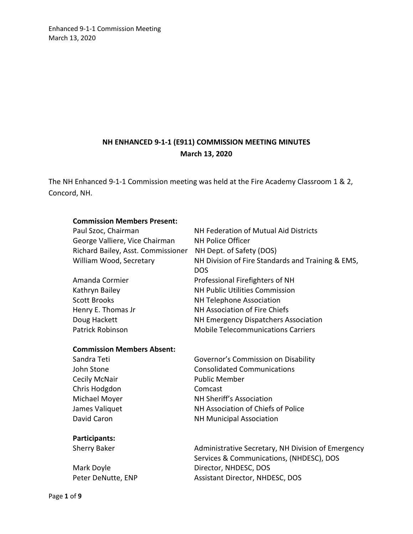## **NH ENHANCED 9-1-1 (E911) COMMISSION MEETING MINUTES March 13, 2020**

The NH Enhanced 9-1-1 Commission meeting was held at the Fire Academy Classroom 1 & 2, Concord, NH.

#### **Commission Members Present:**

| Paul Szoc, Chairman                | NH Federation of Mutual Aid Districts             |
|------------------------------------|---------------------------------------------------|
| George Valliere, Vice Chairman     | <b>NH Police Officer</b>                          |
| Richard Bailey, Asst. Commissioner | NH Dept. of Safety (DOS)                          |
| William Wood, Secretary            | NH Division of Fire Standards and Training & EMS, |
|                                    | <b>DOS</b>                                        |
| Amanda Cormier                     | Professional Firefighters of NH                   |
| Kathryn Bailey                     | <b>NH Public Utilities Commission</b>             |
| <b>Scott Brooks</b>                | NH Telephone Association                          |
| Henry E. Thomas Jr                 | NH Association of Fire Chiefs                     |
| Doug Hackett                       | NH Emergency Dispatchers Association              |
| Patrick Robinson                   | <b>Mobile Telecommunications Carriers</b>         |

#### **Commission Members Absent:**

| Sandra Teti    | Governor's Commission on Disability |
|----------------|-------------------------------------|
| John Stone     | <b>Consolidated Communications</b>  |
| Cecily McNair  | <b>Public Member</b>                |
| Chris Hodgdon  | Comcast                             |
| Michael Moyer  | NH Sheriff's Association            |
| James Valiquet | NH Association of Chiefs of Police  |
| David Caron    | <b>NH Municipal Association</b>     |
|                |                                     |

**Participants:** 

Sherry Baker **Administrative Secretary, NH Division of Emergency** Services & Communications, (NHDESC), DOS Mark Doyle **Director**, NHDESC, DOS Peter DeNutte, ENP Assistant Director, NHDESC, DOS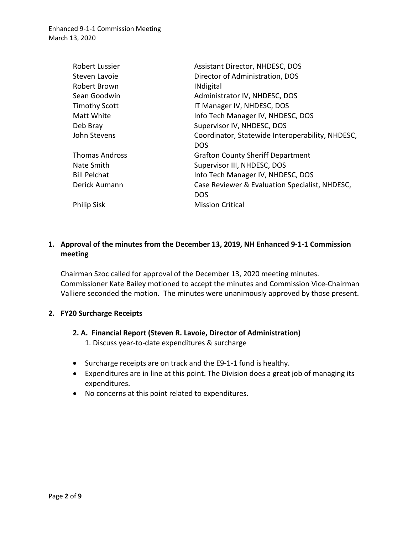| <b>Robert Lussier</b> | Assistant Director, NHDESC, DOS                  |
|-----------------------|--------------------------------------------------|
| Steven Lavoie         | Director of Administration, DOS                  |
| Robert Brown          | <b>INdigital</b>                                 |
| Sean Goodwin          | Administrator IV, NHDESC, DOS                    |
| <b>Timothy Scott</b>  | IT Manager IV, NHDESC, DOS                       |
| Matt White            | Info Tech Manager IV, NHDESC, DOS                |
| Deb Bray              | Supervisor IV, NHDESC, DOS                       |
| John Stevens          | Coordinator, Statewide Interoperability, NHDESC, |
|                       | <b>DOS</b>                                       |
| <b>Thomas Andross</b> | <b>Grafton County Sheriff Department</b>         |
| Nate Smith            | Supervisor III, NHDESC, DOS                      |
| <b>Bill Pelchat</b>   | Info Tech Manager IV, NHDESC, DOS                |
| Derick Aumann         | Case Reviewer & Evaluation Specialist, NHDESC,   |
|                       | <b>DOS</b>                                       |
| <b>Philip Sisk</b>    | <b>Mission Critical</b>                          |
|                       |                                                  |

## **1. Approval of the minutes from the December 13, 2019, NH Enhanced 9-1-1 Commission meeting**

Chairman Szoc called for approval of the December 13, 2020 meeting minutes. Commissioner Kate Bailey motioned to accept the minutes and Commission Vice-Chairman Valliere seconded the motion. The minutes were unanimously approved by those present.

### **2. FY20 Surcharge Receipts**

# **2. A. Financial Report (Steven R. Lavoie, Director of Administration)**

- 1. Discuss year-to-date expenditures & surcharge
- Surcharge receipts are on track and the E9-1-1 fund is healthy.
- Expenditures are in line at this point. The Division does a great job of managing its expenditures.
- No concerns at this point related to expenditures.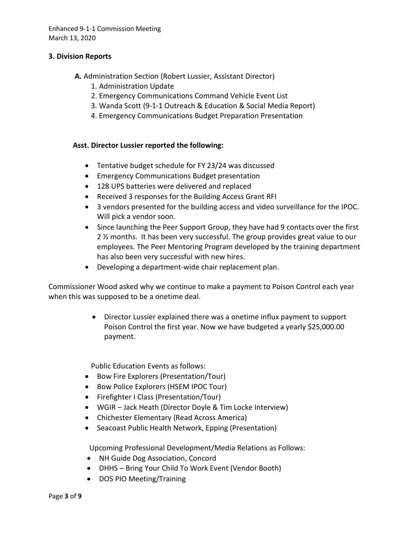#### **3. Division Reports**

- **A.** Administration Section (Robert Lussier, Assistant Director)
	- 1. Administration Update
	- 2. Emergency Communications Command Vehicle Event List
	- 3. Wanda Scott (9-1-1 Outreach & Education & Social Media Report)
	- 4. Emergency Communications Budget Preparation Presentation

#### **Asst. Director Lussier reported the following:**

- Tentative budget schedule for FY 23/24 was discussed
- Emergency Communications Budget presentation
- 128 UPS batteries were delivered and replaced
- Received 3 responses for the Building Access Grant RFI
- 3 vendors presented for the building access and video surveillance for the IPOC. Will pick a vendor soon.
- Since launching the Peer Support Group, they have had 9 contacts over the first 2 ½ months. It has been very successful. The group provides great value to our employees. The Peer Mentoring Program developed by the training department has also been very successful with new hires.
- Developing a department-wide chair replacement plan.

Commissioner Wood asked why we continue to make a payment to Poison Control each year when this was supposed to be a onetime deal.

> • Director Lussier explained there was a onetime influx payment to support Poison Control the first year. Now we have budgeted a yearly \$25,000.00 payment.

Public Education Events as follows:

- Bow Fire Explorers (Presentation/Tour)
- Bow Police Explorers (HSEM IPOC Tour)
- Firefighter I Class (Presentation/Tour)
- WGIR Jack Heath (Director Doyle & Tim Locke Interview)
- Chichester Elementary (Read Across America)
- Seacoast Public Health Network, Epping (Presentation)

Upcoming Professional Development/Media Relations as Follows:

- NH Guide Dog Association, Concord
- DHHS Bring Your Child To Work Event (Vendor Booth)
- DOS PIO Meeting/Training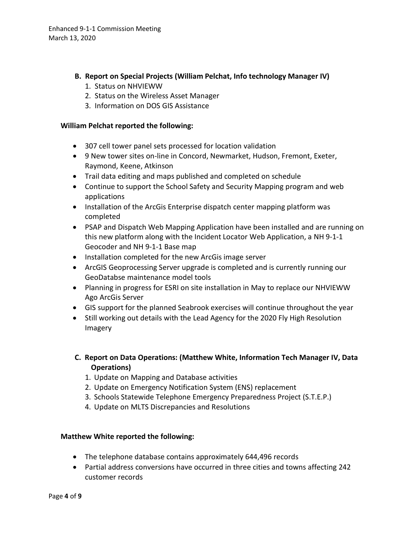- **B. Report on Special Projects (William Pelchat, Info technology Manager IV)**
	- 1. Status on NHVIEWW
	- 2. Status on the Wireless Asset Manager
	- 3. Information on DOS GIS Assistance

#### **William Pelchat reported the following:**

- 307 cell tower panel sets processed for location validation
- 9 New tower sites on-line in Concord, Newmarket, Hudson, Fremont, Exeter, Raymond, Keene, Atkinson
- Trail data editing and maps published and completed on schedule
- Continue to support the School Safety and Security Mapping program and web applications
- Installation of the ArcGis Enterprise dispatch center mapping platform was completed
- PSAP and Dispatch Web Mapping Application have been installed and are running on this new platform along with the Incident Locator Web Application, a NH 9-1-1 Geocoder and NH 9-1-1 Base map
- Installation completed for the new ArcGis image server
- ArcGIS Geoprocessing Server upgrade is completed and is currently running our GeoDatabse maintenance model tools
- Planning in progress for ESRI on site installation in May to replace our NHVIEWW Ago ArcGis Server
- GIS support for the planned Seabrook exercises will continue throughout the year
- Still working out details with the Lead Agency for the 2020 Fly High Resolution Imagery
- **C. Report on Data Operations: (Matthew White, Information Tech Manager IV, Data Operations)** 
	- 1. Update on Mapping and Database activities
	- 2. Update on Emergency Notification System (ENS) replacement
	- 3. Schools Statewide Telephone Emergency Preparedness Project (S.T.E.P.)
	- 4. Update on MLTS Discrepancies and Resolutions

### **Matthew White reported the following:**

- The telephone database contains approximately 644,496 records
- Partial address conversions have occurred in three cities and towns affecting 242 customer records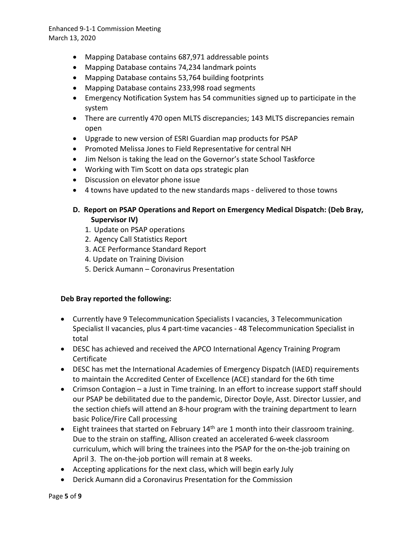- Mapping Database contains 687,971 addressable points
- Mapping Database contains 74,234 landmark points
- Mapping Database contains 53,764 building footprints
- Mapping Database contains 233,998 road segments
- Emergency Notification System has 54 communities signed up to participate in the system
- There are currently 470 open MLTS discrepancies; 143 MLTS discrepancies remain open
- Upgrade to new version of ESRI Guardian map products for PSAP
- Promoted Melissa Jones to Field Representative for central NH
- Jim Nelson is taking the lead on the Governor's state School Taskforce
- Working with Tim Scott on data ops strategic plan
- Discussion on elevator phone issue
- 4 towns have updated to the new standards maps delivered to those towns

## **D. Report on PSAP Operations and Report on Emergency Medical Dispatch: (Deb Bray, Supervisor IV)**

- 1. Update on PSAP operations
- 2. Agency Call Statistics Report
- 3. ACE Performance Standard Report
- 4. Update on Training Division
- 5. Derick Aumann Coronavirus Presentation

## **Deb Bray reported the following:**

- Currently have 9 Telecommunication Specialists I vacancies, 3 Telecommunication Specialist II vacancies, plus 4 part-time vacancies - 48 Telecommunication Specialist in total
- DESC has achieved and received the APCO International Agency Training Program Certificate
- DESC has met the International Academies of Emergency Dispatch (IAED) requirements to maintain the Accredited Center of Excellence (ACE) standard for the 6th time
- Crimson Contagion a Just in Time training. In an effort to increase support staff should our PSAP be debilitated due to the pandemic, Director Doyle, Asst. Director Lussier, and the section chiefs will attend an 8-hour program with the training department to learn basic Police/Fire Call processing
- Eight trainees that started on February  $14<sup>th</sup>$  are 1 month into their classroom training. Due to the strain on staffing, Allison created an accelerated 6-week classroom curriculum, which will bring the trainees into the PSAP for the on-the-job training on April 3. The on-the-job portion will remain at 8 weeks.
- Accepting applications for the next class, which will begin early July
- Derick Aumann did a Coronavirus Presentation for the Commission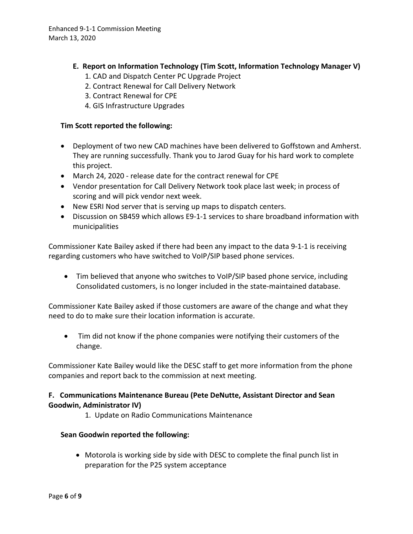- **E. Report on Information Technology (Tim Scott, Information Technology Manager V)** 
	- 1. CAD and Dispatch Center PC Upgrade Project
	- 2. Contract Renewal for Call Delivery Network
	- 3. Contract Renewal for CPE
	- 4. GIS Infrastructure Upgrades

## **Tim Scott reported the following:**

- Deployment of two new CAD machines have been delivered to Goffstown and Amherst. They are running successfully. Thank you to Jarod Guay for his hard work to complete this project.
- March 24, 2020 release date for the contract renewal for CPE
- Vendor presentation for Call Delivery Network took place last week; in process of scoring and will pick vendor next week.
- New ESRI Nod server that is serving up maps to dispatch centers.
- Discussion on SB459 which allows E9-1-1 services to share broadband information with municipalities

Commissioner Kate Bailey asked if there had been any impact to the data 9-1-1 is receiving regarding customers who have switched to VoIP/SIP based phone services.

• Tim believed that anyone who switches to VoIP/SIP based phone service, including Consolidated customers, is no longer included in the state-maintained database.

Commissioner Kate Bailey asked if those customers are aware of the change and what they need to do to make sure their location information is accurate.

• Tim did not know if the phone companies were notifying their customers of the change.

Commissioner Kate Bailey would like the DESC staff to get more information from the phone companies and report back to the commission at next meeting.

## **F. Communications Maintenance Bureau (Pete DeNutte, Assistant Director and Sean Goodwin, Administrator IV)**

1. Update on Radio Communications Maintenance

## **Sean Goodwin reported the following:**

• Motorola is working side by side with DESC to complete the final punch list in preparation for the P25 system acceptance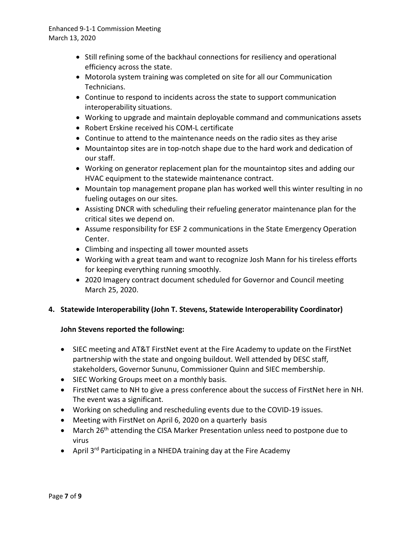- Still refining some of the backhaul connections for resiliency and operational efficiency across the state.
- Motorola system training was completed on site for all our Communication Technicians.
- Continue to respond to incidents across the state to support communication interoperability situations.
- Working to upgrade and maintain deployable command and communications assets
- Robert Erskine received his COM-L certificate
- Continue to attend to the maintenance needs on the radio sites as they arise
- Mountaintop sites are in top-notch shape due to the hard work and dedication of our staff.
- Working on generator replacement plan for the mountaintop sites and adding our HVAC equipment to the statewide maintenance contract.
- Mountain top management propane plan has worked well this winter resulting in no fueling outages on our sites.
- Assisting DNCR with scheduling their refueling generator maintenance plan for the critical sites we depend on.
- Assume responsibility for ESF 2 communications in the State Emergency Operation Center.
- Climbing and inspecting all tower mounted assets
- Working with a great team and want to recognize Josh Mann for his tireless efforts for keeping everything running smoothly.
- 2020 Imagery contract document scheduled for Governor and Council meeting March 25, 2020.

## **4. Statewide Interoperability (John T. Stevens, Statewide Interoperability Coordinator)**

## **John Stevens reported the following:**

- SIEC meeting and AT&T FirstNet event at the Fire Academy to update on the FirstNet partnership with the state and ongoing buildout. Well attended by DESC staff, stakeholders, Governor Sununu, Commissioner Quinn and SIEC membership.
- SIEC Working Groups meet on a monthly basis.
- FirstNet came to NH to give a press conference about the success of FirstNet here in NH. The event was a significant.
- Working on scheduling and rescheduling events due to the COVID-19 issues.
- Meeting with FirstNet on April 6, 2020 on a quarterly basis
- March 26<sup>th</sup> attending the CISA Marker Presentation unless need to postpone due to virus
- April 3<sup>rd</sup> Participating in a NHEDA training day at the Fire Academy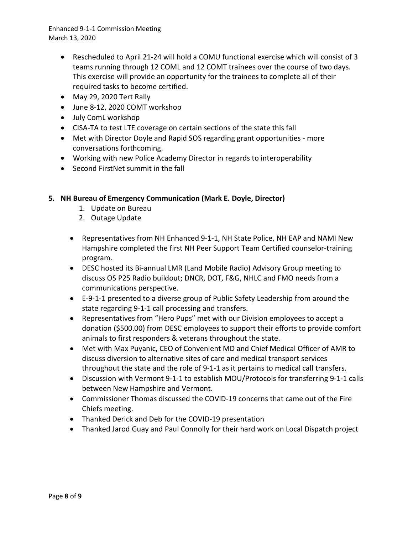- Rescheduled to April 21-24 will hold a COMU functional exercise which will consist of 3 teams running through 12 COML and 12 COMT trainees over the course of two days. This exercise will provide an opportunity for the trainees to complete all of their required tasks to become certified.
- May 29, 2020 Tert Rally
- June 8-12, 2020 COMT workshop
- July ComL workshop
- CISA-TA to test LTE coverage on certain sections of the state this fall
- Met with Director Doyle and Rapid SOS regarding grant opportunities more conversations forthcoming.
- Working with new Police Academy Director in regards to interoperability
- Second FirstNet summit in the fall

## **5. NH Bureau of Emergency Communication (Mark E. Doyle, Director)**

- 1. Update on Bureau
- 2. Outage Update
- Representatives from NH Enhanced 9-1-1, NH State Police, NH EAP and NAMI New Hampshire completed the first NH Peer Support Team Certified counselor-training program.
- DESC hosted its Bi-annual LMR (Land Mobile Radio) Advisory Group meeting to discuss OS P25 Radio buildout; DNCR, DOT, F&G, NHLC and FMO needs from a communications perspective.
- E-9-1-1 presented to a diverse group of Public Safety Leadership from around the state regarding 9-1-1 call processing and transfers.
- Representatives from "Hero Pups" met with our Division employees to accept a donation (\$500.00) from DESC employees to support their efforts to provide comfort animals to first responders & veterans throughout the state.
- Met with Max Puyanic, CEO of Convenient MD and Chief Medical Officer of AMR to discuss diversion to alternative sites of care and medical transport services throughout the state and the role of 9-1-1 as it pertains to medical call transfers.
- Discussion with Vermont 9-1-1 to establish MOU/Protocols for transferring 9-1-1 calls between New Hampshire and Vermont.
- Commissioner Thomas discussed the COVID-19 concerns that came out of the Fire Chiefs meeting.
- Thanked Derick and Deb for the COVID-19 presentation
- Thanked Jarod Guay and Paul Connolly for their hard work on Local Dispatch project